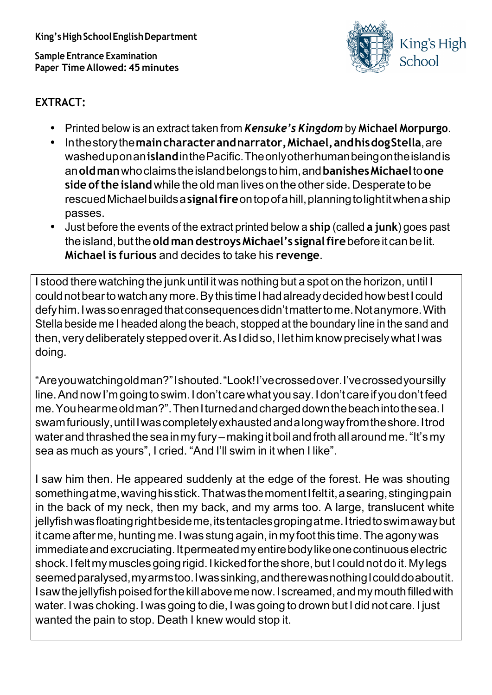**Sample Entrance Examination Paper TimeAllowed: 45 minutes** 



# **EXTRACT:**

- Printed below is an extract taken from *Kensuke's Kingdom* by **Michael Morpurgo**.
- Inthestorythe**maincharacterandnarrator,Michael,andhisdogStella**,are washeduponan**island**inthePacific.Theonlyotherhumanbeingontheislandis an**oldman**whoclaimstheislandbelongstohim,and**banishesMichael**to**one side ofthe island** while the old man lives on the other side. Desperate to be rescuedMichaelbuildsa**signalfire**ontopofahill,planningtolightitwhenaship passes.
- Just before the events of the extract printed below a **ship** (called **a junk**) goes past theisland,butthe**oldmandestroysMichael's signalfire**beforeit canbelit. **Michael is furious** and decides to take his **revenge**.

I stood there watching the junk until it was nothing but a spot on the horizon, until I couldnotbeartowatchanymore.By this timeIhadalreadydecidedhowbestI could defyhim.Iwassoenragedthatconsequencesdidn'tmattertome.Notanymore.With Stella beside me I headed along the beach, stopped at the boundary line in the sand and then, very deliberately stepped over it. As I did so, I let him know precisely what I was doing.

"Areyouwatchingoldman?"Ishouted."Look!I'vecrossedover.I'vecrossedyoursilly line.AndnowI'mgoingtoswim.Idon't carewhat yousay.Idon't careif youdon'tfeed me.Youhearmeoldman?".ThenIturnedandchargeddownthebeachintothesea.I swamfuriously,untilIwascompletelyexhaustedandalongwayfromtheshore.Itrod water and thrashed the sea in my fury – making it boil and froth all around me. "It's my sea as much as yours", I cried. "And I'll swim in it when I like".

I saw him then. He appeared suddenly at the edge of the forest. He was shouting something at me, waving his stick. That was the moment I felt it, a searing, stinging pain in the back of my neck, then my back, and my arms too. A large, translucent white jellyfishwasfloatingrightbesideme,itstentaclesgropingatme.Itriedtoswimawaybut it came after me, hunting me. I was stung again, in my foot this time. The agony was immediateandexcruciating.Itpermeatedmyentirebodylikeonecontinuouselectric shock. I felt my muscles going rigid. I kicked for the shore, but I could not do it. My legs seemed paralysed, my armstoo. I was sinking, and there was nothing I could doabout it. I saw the jellyfish poised for the kill above me now. I screamed, and my mouth filled with water. I was choking. I was going to die, I was going to drown but I did not care. I just wanted the pain to stop. Death I knew would stop it.